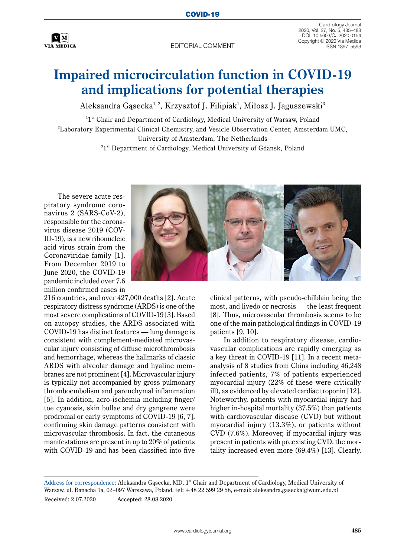

EDITORIAL COMMENT

Cardiology Journal 2020, Vol. 27, No. 5, 485–488 DOI: 10.5603/CJ.2020.0154 Copyright © 2020 Via Medica

## **Impaired microcirculation function in COVID-19 and implications for potential therapies**

Aleksandra Gąsecka<sup>1, 2</sup>, Krzysztof J. Filipiak<sup>1</sup>, Miłosz J. Jaguszewski<sup>3</sup>

 $^{11st}$  Chair and Department of Cardiology, Medical University of Warsaw, Poland 2 Laboratory Experimental Clinical Chemistry, and Vesicle Observation Center, Amsterdam UMC, University of Amsterdam, The Netherlands

 $31^\text{st}$  Department of Cardiology, Medical University of Gdansk, Poland

The severe acute respiratory syndrome coronavirus 2 (SARS-CoV-2), responsible for the coronavirus disease 2019 (COV-ID-19), is a new ribonucleic acid virus strain from the Coronaviridae family [1]. From December 2019 to June 2020, the COVID-19 pandemic included over 7.6 million confirmed cases in



216 countries, and over 427,000 deaths [2]. Acute respiratory distress syndrome (ARDS) is one of the most severe complications of COVID-19 [3]. Based on autopsy studies, the ARDS associated with COVID-19 has distinct features — lung damage is consistent with complement-mediated microvascular injury consisting of diffuse microthrombosis and hemorrhage, whereas the hallmarks of classic ARDS with alveolar damage and hyaline membranes are not prominent [4]. Microvascular injury is typically not accompanied by gross pulmonary thromboembolism and parenchymal inflammation [5]. In addition, acro-ischemia including finger/ toe cyanosis, skin bullae and dry gangrene were prodromal or early symptoms of COVID-19 [6, 7], confirming skin damage patterns consistent with microvascular thrombosis. In fact, the cutaneous manifestations are present in up to 20% of patients with COVID-19 and has been classified into five

clinical patterns, with pseudo-chilblain being the most, and livedo or necrosis — the least frequent [8]. Thus, microvascular thrombosis seems to be one of the main pathological findings in COVID-19 patients [9, 10].

In addition to respiratory disease, cardiovascular complications are rapidly emerging as a key threat in COVID-19 [11]. In a recent metaanalysis of 8 studies from China including 46,248 infected patients, 7% of patients experienced myocardial injury (22% of these were critically ill), as evidenced by elevated cardiac troponin [12]. Noteworthy, patients with myocardial injury had higher in-hospital mortality (37.5%) than patients with cardiovascular disease (CVD) but without myocardial injury (13.3%), or patients without CVD (7.6%). Moreover, if myocardial injury was present in patients with preexisting CVD, the mortality increased even more (69.4%) [13]. Clearly,

Address for correspondence: Aleksandra Gąsecka, MD, 1<sup>st</sup> Chair and Department of Cardiology, Medical University of Warsaw, ul. Banacha 1a, 02–097 Warszawa, Poland, tel: +48 22 599 29 58, e-mail: aleksandra.gasecka@wum.edu.pl Received: 2.07.2020 Accepted: 28.08.2020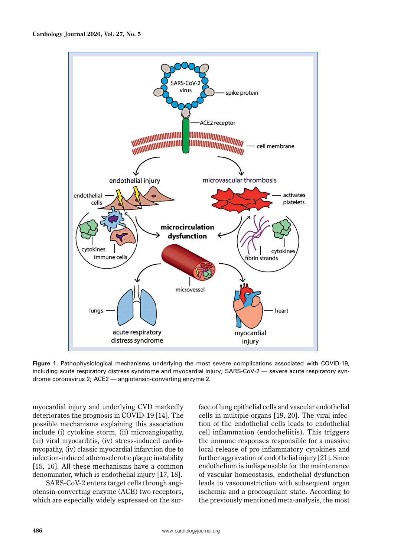

**Figure 1.** Pathophysiological mechanisms underlying the most severe complications associated with COVID-19, including acute respiratory distress syndrome and myocardial injury; SARS-CoV-2 — severe acute respiratory syndrome coronavirus 2; ACE2 — angiotensin-converting enzyme 2.

myocardial injury and underlying CVD markedly deteriorates the prognosis in COVID-19 [14]. The possible mechanisms explaining this association include (i) cytokine storm, (ii) microangiopathy, (iii) viral myocarditis, (iv) stress-induced cardiomyopathy, (iv) classic myocardial infarction due to infection-induced atherosclerotic plaque instability [15, 16]. All these mechanisms have a common denominator, which is endothelial injury [17, 18].

SARS-CoV-2 enters target cells through angiotensin-converting enzyme (ACE) two receptors, which are especially widely expressed on the surface of lung epithelial cells and vascular endothelial cells in multiple organs [19, 20]. The viral infection of the endothelial cells leads to endothelial cell inflammation (endotheliitis). This triggers the immune responses responsible for a massive local release of pro-inflammatory cytokines and further aggravation of endothelial injury [21]. Since endothelium is indispensable for the maintenance of vascular homeostasis, endothelial dysfunction leads to vasoconstriction with subsequent organ ischemia and a procoagulant state. According to the previously mentioned meta-analysis, the most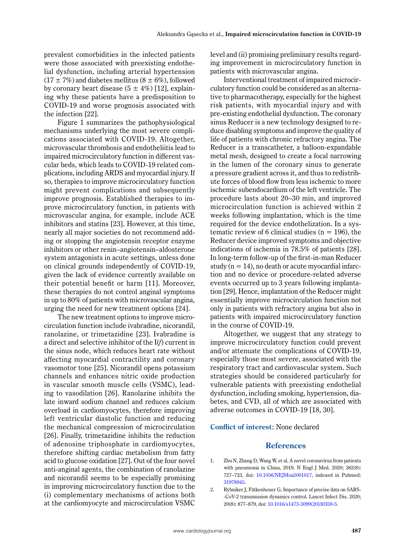prevalent comorbidities in the infected patients were those associated with preexisting endothelial dysfunction, including arterial hypertension  $(17 \pm 7\%)$  and diabetes mellitus  $(8 \pm 6\%)$ , followed by coronary heart disease  $(5 \pm 4\%)$  [12], explaining why these patients have a predisposition to COVID-19 and worse prognosis associated with the infection [22].

Figure 1 summarizes the pathophysiological mechanisms underlying the most severe complications associated with COVID-19. Altogether, microvascular thrombosis and endotheliitis lead to impaired microcirculatory function in different vascular beds, which leads to COVID-19 related complications, including ARDS and myocardial injury. If so, therapies to improve microcirculatory function might prevent complications and subsequently improve prognosis. Established therapies to improve microcirculatory function, in patients with microvascular angina, for example, include ACE inhibitors and statins [23]. However, at this time, nearly all major societies do not recommend adding or stopping the angiotensin receptor enzyme inhibitors or other renin–angiotensin–aldosterone system antagonists in acute settings, unless done on clinical grounds independently of COVID-19, given the lack of evidence currently available on their potential benefit or harm [11]. Moreover, these therapies do not control anginal symptoms in up to 80% of patients with microvascular angina, urging the need for new treatment options [24].

The new treatment options to improve microcirculation function include ivabradine, nicorandil, ranolazine, or trimetazidine [23]. Ivabradine is a direct and selective inhibitor of the I(*f*) current in the sinus node, which reduces heart rate without affecting myocardial contractility and coronary vasomotor tone [25]. Nicorandil opens potassium channels and enhances nitric oxide production in vascular smooth muscle cells (VSMC), leading to vasodilation [26]. Ranolazine inhibits the late inward sodium channel and reduces calcium overload in cardiomyocytes, therefore improving left ventricular diastolic function and reducing the mechanical compression of microcirculation [26]. Finally, trimetazidine inhibits the reduction of adenosine triphosphate in cardiomyocytes, therefore shifting cardiac metabolism from fatty acid to glucose oxidation [27]. Out of the four novel anti-anginal agents, the combination of ranolazine and nicorandil seems to be especially promising in improving microcirculatory function due to the (i) complementary mechanisms of actions both at the cardiomyocyte and microcirculation VSMC level and (ii) promising preliminary results regarding improvement in microcirculatory function in patients with microvascular angina.

Interventional treatment of impaired microcirculatory function could be considered as an alternative to pharmacotherapy, especially for the highest risk patients, with myocardial injury and with pre-existing endothelial dysfunction. The coronary sinus Reducer is a new technology designed to reduce disabling symptoms and improve the quality of life of patients with chronic refractory angina. The Reducer is a transcatheter, a balloon-expandable metal mesh, designed to create a focal narrowing in the lumen of the coronary sinus to generate a pressure gradient across it, and thus to redistribute forces of blood flow from less ischemic to more ischemic subendocardium of the left ventricle. The procedure lasts about 20–30 min, and improved microcirculation function is achieved within 2 weeks following implantation, which is the time required for the device endothelization. In a systematic review of 6 clinical studies ( $n = 196$ ), the Reducer device improved symptoms and objective indications of ischemia in 78.5% of patients [28]. In long-term follow-up of the first-in-man Reducer study  $(n = 14)$ , no death or acute myocardial infarction and no device or procedure-related adverse events occurred up to 3 years following implantation [29]. Hence, implantation of the Reducer might essentially improve microcirculation function not only in patients with refractory angina but also in patients with impaired microcirculatory function in the course of COVID-19.

Altogether, we suggest that any strategy to improve microcirculatory function could prevent and/or attenuate the complications of COVID-19, especially those most severe, associated with the respiratory tract and cardiovascular system. Such strategies should be considered particularly for vulnerable patients with preexisting endothelial dysfunction, including smoking, hypertension, diabetes, and CVD, all of which are associated with adverse outcomes in COVID-19 [18, 30].

## **Conflict of interest:** None declared

## **References**

- 1. Zhu N, Zhang D, Wang W, et al. A novel coronavirus from patients with pneumonia in China, 2019. N Engl J Med. 2020; 382(8): 727–733, doi: [10.1056/NEJMoa2001017](http://dx.doi.org/10.1056/NEJMoa2001017), indexed in Pubmed: [31978945.](https://www.ncbi.nlm.nih.gov/pubmed/31978945)
- 2. Rybniker J, Fätkenheuer G. Importance of precise data on SARS- -CoV-2 transmission dynamics control. Lancet Infect Dis. 2020; 20(8): 877–879, doi: [10.1016/s1473-3099\(20\)30359-5](http://dx.doi.org/10.1016/s1473-3099(20)30359-5).